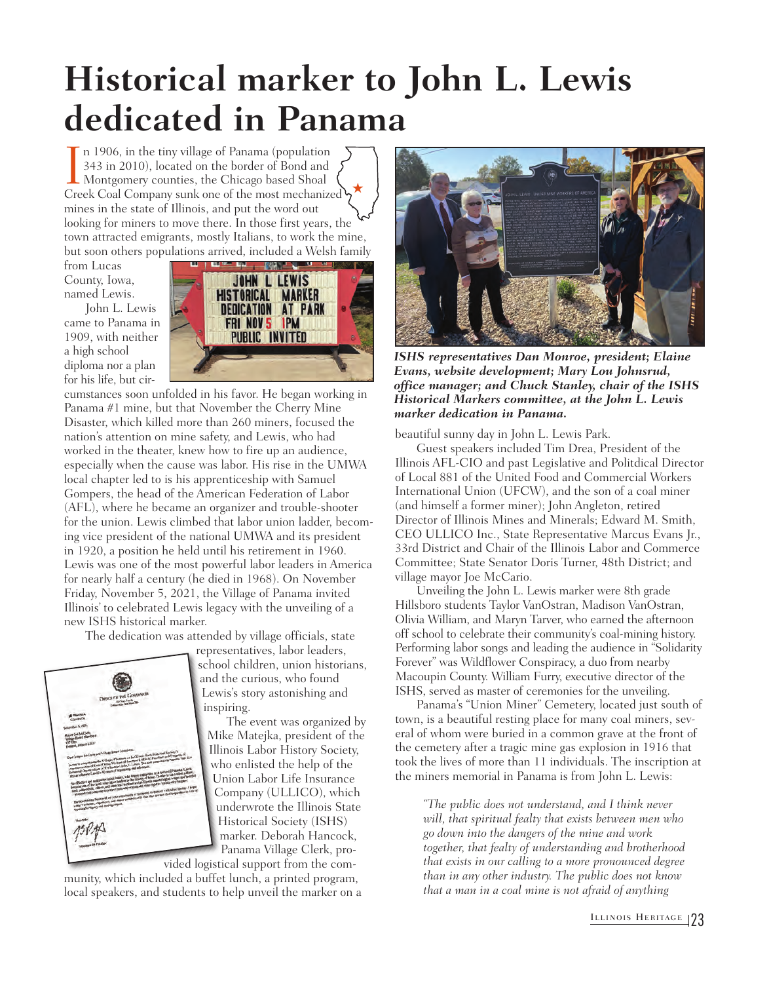## **Historical marker to John L. Lewis dedicated in Panama**

In 1906, in the tiny village of Panama (population 343 in 2010), located on the border of Bond and Montgomery counties, the Chicago based Shoal Creek Coal Company sunk one of the most mechanize 343 in 2010), located on the border of Bond and **K** Montgomery counties, the Chicago based Shoal Creek Coal Company sunk one of the most mechanized mines in the state of Illinois, and put the word out looking for miners to move there. In those first years, the town attracted emigrants, mostly Italians, to work the mine, but soon others populations arrived, included a Welsh family  $\bigstar$ 

from Lucas County, Iowa, named Lewis.

John L. Lewis came to Panama in 1909, with neither a high school diploma nor a plan for his life, but cir-



cumstances soon unfolded in his favor. He began working in Panama #1 mine, but that November the Cherry Mine Disaster, which killed more than 260 miners, focused the nation's attention on mine safety, and Lewis, who had worked in the theater, knew how to fire up an audience, especially when the cause was labor. His rise in the UMWA local chapter led to is his apprenticeship with Samuel Gompers, the head of the American Federation of Labor (AFL), where he became an organizer and trouble-shooter for the union. Lewis climbed that labor union ladder, becoming vice president of the national UMWA and its president in 1920, a position he held until his retirement in 1960. Lewis was one of the most powerful labor leaders in America for nearly half a century (he died in 1968). On November Friday, November 5, 2021, the Village of Panama invited Illinois' to celebrated Lewis legacy with the unveiling of a new ISHS historical marker.

The dedication was attended by village officials, state



representatives, labor leaders, school children, union historians, and the curious, who found Lewis's story astonishing and inspiring.

The event was organized by Mike Matejka, president of the Illinois Labor History Society, who enlisted the help of the Union Labor Life Insurance Company (ULLICO), which underwrote the Illinois State Historical Society (ISHS) marker. Deborah Hancock, Panama Village Clerk, pro-

munity, which included a buffet lunch, a printed program, local speakers, and students to help unveil the marker on a



*ISHS representatives Dan Monroe, president; Elaine Evans, website development; Mary Lou Johnsrud, office manager; and Chuck Stanley, chair of the ISHS Historical Markers committee, at the John L. Lewis marker dedication in Panama.*

beautiful sunny day in John L. Lewis Park.

Guest speakers included Tim Drea, President of the Illinois AFL-CIO and past Legislative and Politdical Director of Local 881 of the United Food and Commercial Workers International Union (UFCW), and the son of a coal miner (and himself a former miner); John Angleton, retired Director of Illinois Mines and Minerals; Edward M. Smith, CEO ULLICO Inc., State Representative Marcus Evans Jr., 33rd District and Chair of the Illinois Labor and Commerce Committee; State Senator Doris Turner, 48th District; and village mayor Joe McCario.

Unveiling the John L. Lewis marker were 8th grade Hillsboro students Taylor VanOstran, Madison VanOstran, Olivia William, and Maryn Tarver, who earned the afternoon off school to celebrate their community's coal-mining history. Performing labor songs and leading the audience in "Solidarity Forever" was Wildflower Conspiracy, a duo from nearby Macoupin County. William Furry, executive director of the ISHS, served as master of ceremonies for the unveiling.

Panama's "Union Miner" Cemetery, located just south of town, is a beautiful resting place for many coal miners, several of whom were buried in a common grave at the front of the cemetery after a tragic mine gas explosion in 1916 that took the lives of more than 11 individuals. The inscription at the miners memorial in Panama is from John L. Lewis:

*"The public does not understand, and I think never will, that spiritual fealty that exists between men who go down into the dangers of the mine and work together, that fealty of understanding and brotherhood that exists in our calling to a more pronounced degree than in any other industry. The public does not know that a man in a coal mine is not afraid of anything*